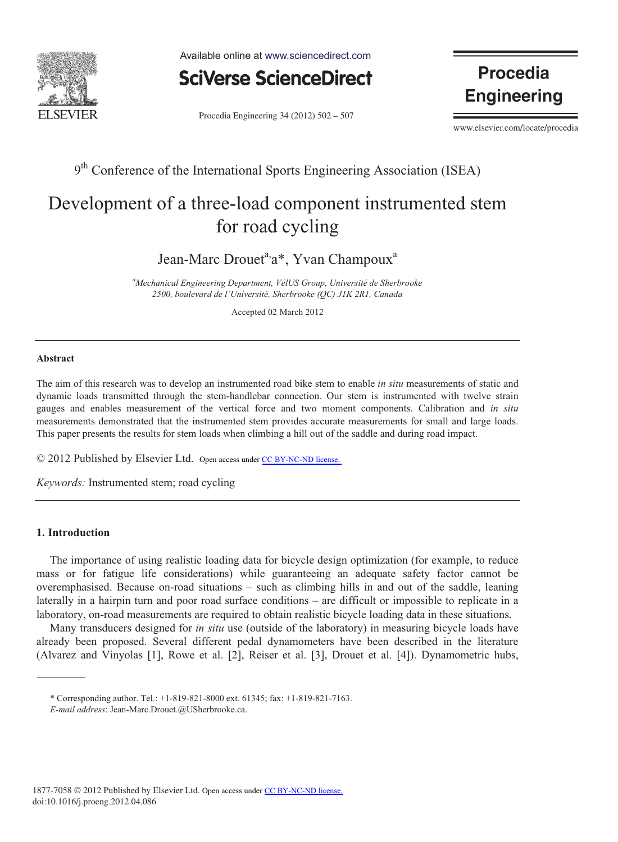

Available online at www.sciencedirect.com



Procedia Engineering 34 (2012) 502 - 507

**Procedia Engineering** 

www.elsevier.com/locate/procedia

## 9<sup>th</sup> Conference of the International Sports Engineering Association (ISEA)

# Development of a three-load component instrumented stem for road cycling

Jean-Marc Drouet<sup>a,</sup>a\*, Yvan Champoux<sup>a</sup>

*a Mechanical Engineering Department, VélUS Group, Université de Sherbrooke 2500, boulevard de l'Université, Sherbrooke (QC) J1K 2R1, Canada* 

Accepted 02 March 2012

#### **Abstract**

The aim of this research was to develop an instrumented road bike stem to enable *in situ* measurements of static and dynamic loads transmitted through the stem-handlebar connection. Our stem is instrumented with twelve strain gauges and enables measurement of the vertical force and two moment components. Calibration and *in situ* measurements demonstrated that the instrumented stem provides accurate measurements for small and large loads. This paper presents the results for stem loads when climbing a hill out of the saddle and during road impact.

© 2012 Published by Elsevier Ltd. Open access under [CC BY-NC-ND license](http://creativecommons.org/licenses/by-nc-nd/3.0/).

*Keywords:* Instrumented stem; road cycling

### **1. Introduction**

The importance of using realistic loading data for bicycle design optimization (for example, to reduce mass or for fatigue life considerations) while guaranteeing an adequate safety factor cannot be overemphasised. Because on-road situations – such as climbing hills in and out of the saddle, leaning laterally in a hairpin turn and poor road surface conditions – are difficult or impossible to replicate in a laboratory, on-road measurements are required to obtain realistic bicycle loading data in these situations.

Many transducers designed for *in situ* use (outside of the laboratory) in measuring bicycle loads have already been proposed. Several different pedal dynamometers have been described in the literature (Alvarez and Vinyolas [1], Rowe et al. [2], Reiser et al. [3], Drouet et al. [4]). Dynamometric hubs,

<sup>\*</sup> Corresponding author. Tel.: +1-819-821-8000 ext. 61345; fax: +1-819-821-7163.

*E-mail address*: Jean-Marc.Drouet.@USherbrooke.ca.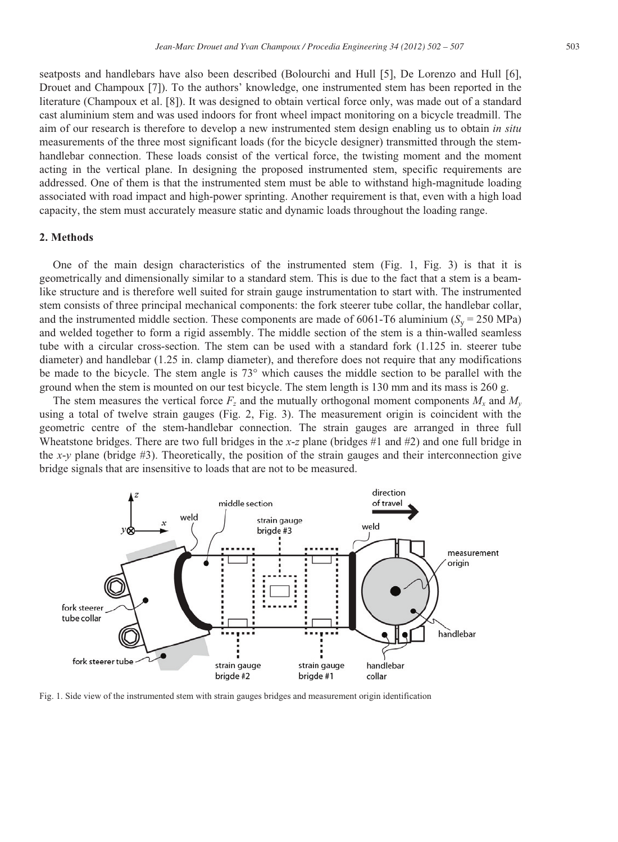seatposts and handlebars have also been described (Bolourchi and Hull [5], De Lorenzo and Hull [6], Drouet and Champoux [7]). To the authors' knowledge, one instrumented stem has been reported in the literature (Champoux et al. [8]). It was designed to obtain vertical force only, was made out of a standard cast aluminium stem and was used indoors for front wheel impact monitoring on a bicycle treadmill. The aim of our research is therefore to develop a new instrumented stem design enabling us to obtain *in situ* measurements of the three most significant loads (for the bicycle designer) transmitted through the stemhandlebar connection. These loads consist of the vertical force, the twisting moment and the moment acting in the vertical plane. In designing the proposed instrumented stem, specific requirements are addressed. One of them is that the instrumented stem must be able to withstand high-magnitude loading associated with road impact and high-power sprinting. Another requirement is that, even with a high load capacity, the stem must accurately measure static and dynamic loads throughout the loading range.

#### **2. Methods**

One of the main design characteristics of the instrumented stem (Fig. 1, Fig. 3) is that it is geometrically and dimensionally similar to a standard stem. This is due to the fact that a stem is a beamlike structure and is therefore well suited for strain gauge instrumentation to start with. The instrumented stem consists of three principal mechanical components: the fork steerer tube collar, the handlebar collar, and the instrumented middle section. These components are made of  $6061$ -T6 aluminium ( $S<sub>v</sub>$  = 250 MPa) and welded together to form a rigid assembly. The middle section of the stem is a thin-walled seamless tube with a circular cross-section. The stem can be used with a standard fork (1.125 in. steerer tube diameter) and handlebar (1.25 in. clamp diameter), and therefore does not require that any modifications be made to the bicycle. The stem angle is 73° which causes the middle section to be parallel with the ground when the stem is mounted on our test bicycle. The stem length is 130 mm and its mass is 260 g.

The stem measures the vertical force  $F_z$  and the mutually orthogonal moment components  $M_x$  and  $M_y$ using a total of twelve strain gauges (Fig. 2, Fig. 3). The measurement origin is coincident with the geometric centre of the stem-handlebar connection. The strain gauges are arranged in three full Wheatstone bridges. There are two full bridges in the *x*-*z* plane (bridges #1 and #2) and one full bridge in the *x*-*y* plane (bridge #3). Theoretically, the position of the strain gauges and their interconnection give bridge signals that are insensitive to loads that are not to be measured.



Fig. 1. Side view of the instrumented stem with strain gauges bridges and measurement origin identification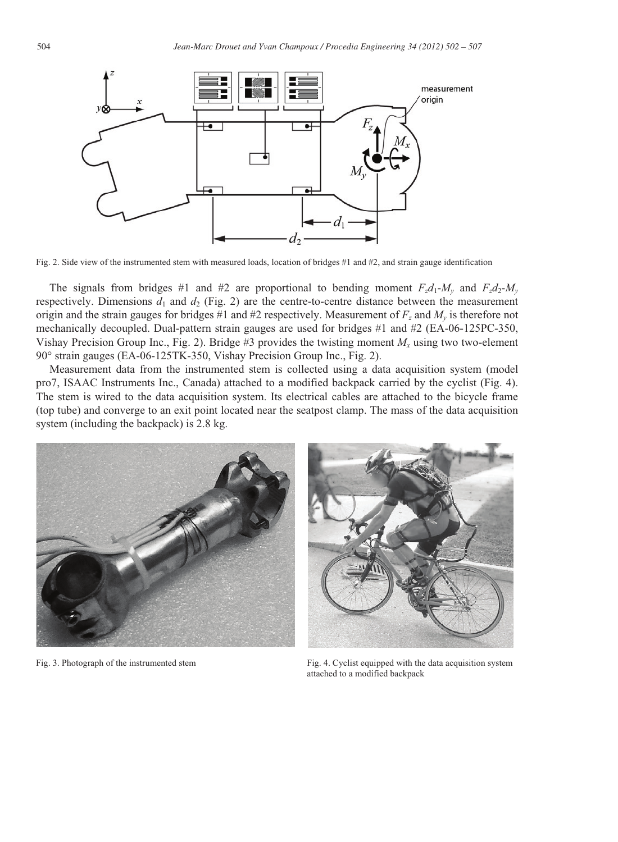

Fig. 2. Side view of the instrumented stem with measured loads, location of bridges #1 and #2, and strain gauge identification

The signals from bridges #1 and #2 are proportional to bending moment  $F_zd_1$ - $M_v$  and  $F_zd_2$ - $M_v$ respectively. Dimensions  $d_1$  and  $d_2$  (Fig. 2) are the centre-to-centre distance between the measurement origin and the strain gauges for bridges #1 and #2 respectively. Measurement of  $F_z$  and  $M_v$  is therefore not mechanically decoupled. Dual-pattern strain gauges are used for bridges #1 and #2 (EA-06-125PC-350, Vishay Precision Group Inc., Fig. 2). Bridge #3 provides the twisting moment  $M_x$  using two two-element 90° strain gauges (EA-06-125TK-350, Vishay Precision Group Inc., Fig. 2).

Measurement data from the instrumented stem is collected using a data acquisition system (model pro7, ISAAC Instruments Inc., Canada) attached to a modified backpack carried by the cyclist (Fig. 4). The stem is wired to the data acquisition system. Its electrical cables are attached to the bicycle frame (top tube) and converge to an exit point located near the seatpost clamp. The mass of the data acquisition system (including the backpack) is 2.8 kg.





Fig. 3. Photograph of the instrumented stem Fig. 4. Cyclist equipped with the data acquisition system attached to a modified backpack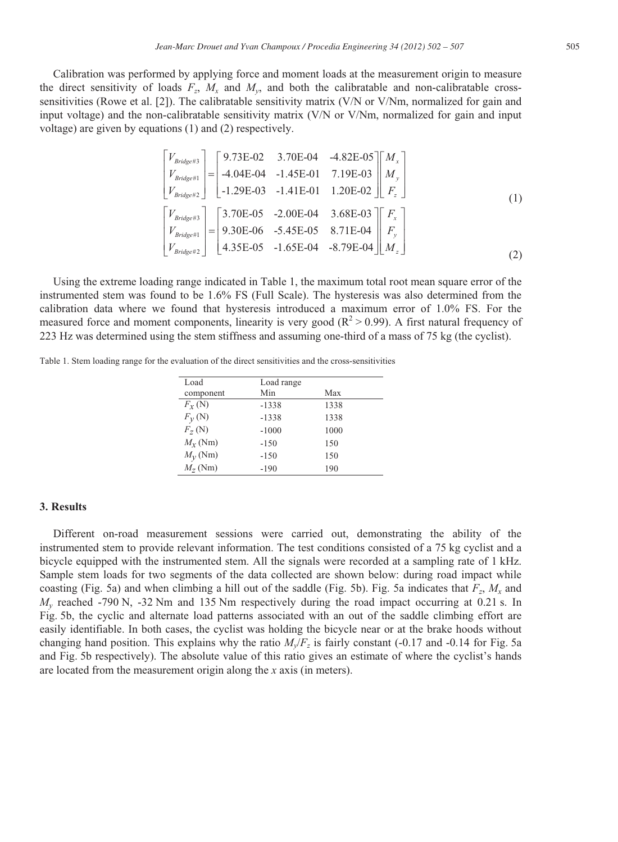$$
\begin{bmatrix}\nV_{\text{Bridge#3}} \\
V_{\text{Bridge#2}} \\
V_{\text{Bridge#3}}\n\end{bmatrix} = \begin{bmatrix}\n9.73E-02 & 3.70E-04 & -4.82E-05 \\
-4.04E-04 & -1.45E-01 & 7.19E-03 \\
-1.29E-03 & -1.41E-01 & 1.20E-02\n\end{bmatrix} \begin{bmatrix}\nM_x \\
M_y \\
F_z\n\end{bmatrix}
$$
\n
$$
\begin{bmatrix}\nV_{\text{Bridge#3}} \\
V_{\text{Bridge#1}} \\
V_{\text{Bridge#2}}\n\end{bmatrix} = \begin{bmatrix}\n3.70E-05 & -2.00E-04 & 3.68E-03 \\
9.30E-06 & -5.45E-05 & 8.71E-04 \\
4.35E-05 & -1.65E-04 & -8.79E-04\n\end{bmatrix} \begin{bmatrix}\nF_x \\
F_y \\
M_z\n\end{bmatrix}
$$
\n(1)

Using the extreme loading range indicated in Table 1, the maximum total root mean square error of the instrumented stem was found to be 1.6% FS (Full Scale). The hysteresis was also determined from the calibration data where we found that hysteresis introduced a maximum error of 1.0% FS. For the measured force and moment components, linearity is very good  $(R^2 > 0.99)$ . A first natural frequency of 223 Hz was determined using the stem stiffness and assuming one-third of a mass of 75 kg (the cyclist).

Table 1. Stem loading range for the evaluation of the direct sensitivities and the cross-sensitivities

| Load             | Load range |      |
|------------------|------------|------|
| component        | Min        | Max  |
| $F_Y(N)$         | $-1338$    | 1338 |
| $F_V(N)$         | $-1338$    | 1338 |
| $F_{7}(N)$       | $-1000$    | 1000 |
| $M_{\rm r}$ (Nm) | $-150$     | 150  |
| $M_{y}$ (Nm)     | $-150$     | 150  |
| $M_{7}$ (Nm)     | $-190$     | 190  |

#### **3. Results**

Different on-road measurement sessions were carried out, demonstrating the ability of the instrumented stem to provide relevant information. The test conditions consisted of a 75 kg cyclist and a bicycle equipped with the instrumented stem. All the signals were recorded at a sampling rate of 1 kHz. Sample stem loads for two segments of the data collected are shown below: during road impact while coasting (Fig. 5a) and when climbing a hill out of the saddle (Fig. 5b). Fig. 5a indicates that  $F_z$ ,  $M_x$  and *My* reached -790 N, -32 Nm and 135 Nm respectively during the road impact occurring at 0.21 s. In Fig. 5b, the cyclic and alternate load patterns associated with an out of the saddle climbing effort are easily identifiable. In both cases, the cyclist was holding the bicycle near or at the brake hoods without changing hand position. This explains why the ratio  $M_v/F_z$  is fairly constant (-0.17 and -0.14 for Fig. 5a and Fig. 5b respectively). The absolute value of this ratio gives an estimate of where the cyclist's hands are located from the measurement origin along the *x* axis (in meters).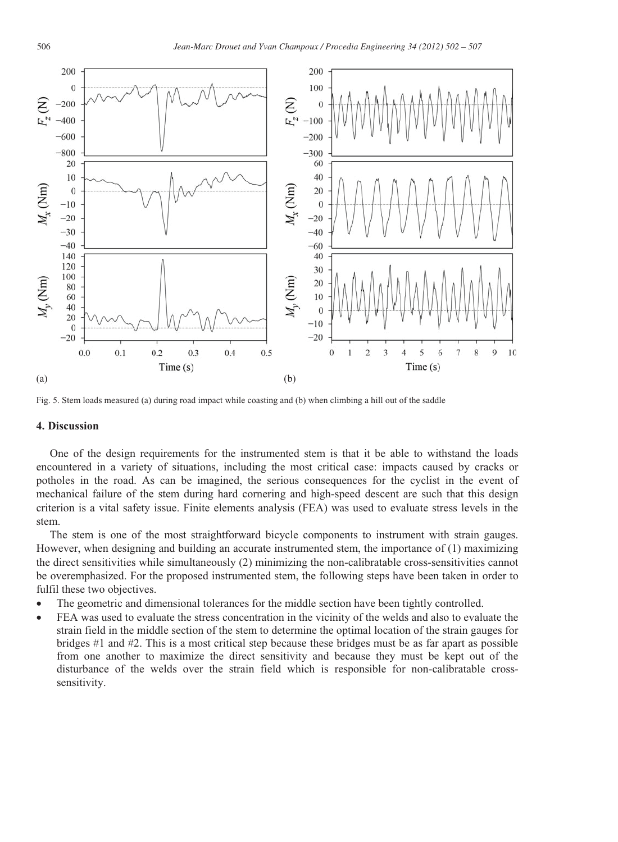

Fig. 5. Stem loads measured (a) during road impact while coasting and (b) when climbing a hill out of the saddle

#### **4. Discussion**

One of the design requirements for the instrumented stem is that it be able to withstand the loads encountered in a variety of situations, including the most critical case: impacts caused by cracks or potholes in the road. As can be imagined, the serious consequences for the cyclist in the event of mechanical failure of the stem during hard cornering and high-speed descent are such that this design criterion is a vital safety issue. Finite elements analysis (FEA) was used to evaluate stress levels in the stem.

The stem is one of the most straightforward bicycle components to instrument with strain gauges. However, when designing and building an accurate instrumented stem, the importance of (1) maximizing the direct sensitivities while simultaneously (2) minimizing the non-calibratable cross-sensitivities cannot be overemphasized. For the proposed instrumented stem, the following steps have been taken in order to fulfil these two objectives.

- The geometric and dimensional tolerances for the middle section have been tightly controlled.
- FEA was used to evaluate the stress concentration in the vicinity of the welds and also to evaluate the strain field in the middle section of the stem to determine the optimal location of the strain gauges for bridges #1 and #2. This is a most critical step because these bridges must be as far apart as possible from one another to maximize the direct sensitivity and because they must be kept out of the disturbance of the welds over the strain field which is responsible for non-calibratable crosssensitivity.